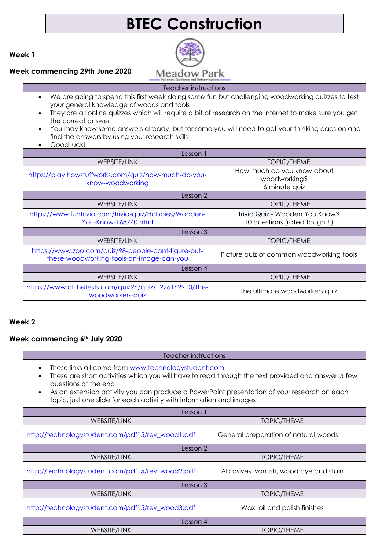# **BTEC Construction**

**Week 1**

#### **Week commencing 29th June 2020**



# Teacher instructions

- We are going to spend this first week doing some fun but challenging woodworking quizzes to test your general knowledge of woods and tools
- They are all online quizzes which will require a bit of research on the internet to make sure you get the correct answer
- You may know some answers already, but for some you will need to get your thinking caps on and find the answers by using your research skills
- Good luck!

| Lesson 1                                                                                        |                                                                 |  |
|-------------------------------------------------------------------------------------------------|-----------------------------------------------------------------|--|
| WEBSITE/LINK                                                                                    | <b>TOPIC/THEME</b>                                              |  |
| https://play.howstuffworks.com/quiz/how-much-do-you-<br>know-woodworking                        | How much do you know about<br>woodworking?<br>6 minute quiz     |  |
| Lesson 2                                                                                        |                                                                 |  |
| WEBSITE/LINK                                                                                    | TOPIC/THEME                                                     |  |
| https://www.funtrivia.com/trivia-quiz/Hobbies/Wooden-<br>You-Know-168740.html                   | Trivia Quiz - Wooden You Know?<br>10 questions (rated tough!!!) |  |
| Lesson 3                                                                                        |                                                                 |  |
| WEBSITE/LINK                                                                                    | <b>TOPIC/THEME</b>                                              |  |
| https://www.zoo.com/quiz/98-people-cant-figure-out-<br>these-woodworking-tools-an-image-can-you | Picture quiz of common woodworking tools                        |  |
| Lesson 4                                                                                        |                                                                 |  |
| WEBSITE/LINK                                                                                    | TOPIC/THEME                                                     |  |
| https://www.allthetests.com/quiz26/quiz/1226162910/The-<br>woodworkers-quiz                     | The ultimate woodworkers quiz                                   |  |

# **Week 2**

#### **Week commencing 6th July 2020**

#### Teacher instructions

- These links all come from [www.technologystudent.com](http://www.technologystudent.com/)
- These are short activities which you will have to read through the text provided and answer a few questions at the end
- As an extension activity you can produce a PowerPoint presentation of your research on each topic, just one slide for each activity with information and images

| Lesson 1                                         |                                        |
|--------------------------------------------------|----------------------------------------|
| WEBSITE/LINK                                     | <b>TOPIC/THEME</b>                     |
| http://technologystudent.com/pdf15/rev_wood1.pdf | General preparation of natural woods   |
| Lesson 2                                         |                                        |
| WEBSITE/LINK                                     | <b>TOPIC/THEME</b>                     |
| http://technologystudent.com/pdf15/rev_wood2.pdf | Abrasives, varnish, wood dye and stain |
| Lesson 3                                         |                                        |
| WEBSITE/LINK                                     | <b>TOPIC/THEME</b>                     |
| http://technologystudent.com/pdf15/rev_wood3.pdf | Wax, oil and polish finishes           |
| Lesson 4                                         |                                        |
| <b>WEBSITE/LINK</b>                              | <b>TOPIC/THEME</b>                     |